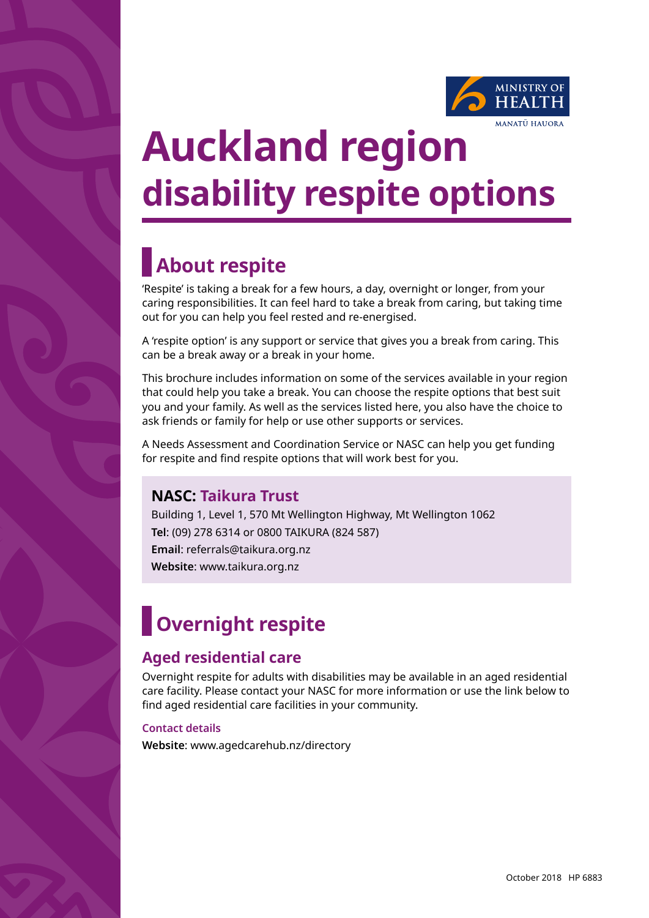

# **Auckland region disability respite options**

## **About respite**

'Respite' is taking a break for a few hours, a day, overnight or longer, from your caring responsibilities. It can feel hard to take a break from caring, but taking time out for you can help you feel rested and re-energised.

A 'respite option' is any support or service that gives you a break from caring. This can be a break away or a break in your home.

This brochure includes information on some of the services available in your region that could help you take a break. You can choose the respite options that best suit you and your family. As well as the services listed here, you also have the choice to ask friends or family for help or use other supports or services.

A Needs Assessment and Coordination Service or NASC can help you get funding for respite and find respite options that will work best for you.

## **NASC: Taikura Trust**

Building 1, Level 1, 570 Mt Wellington Highway, Mt Wellington 1062 **Tel**: (09) 278 6314 or 0800 TAIKURA (824 587) **Email**: referrals@taikura.org.nz **Website**: www.taikura.org.nz

## **Overnight respite**

## **Aged residential care**

Overnight respite for adults with disabilities may be available in an aged residential care facility. Please contact your NASC for more information or use the link below to find aged residential care facilities in your community.

#### **Contact details**

**Website**: www.agedcarehub.nz/directory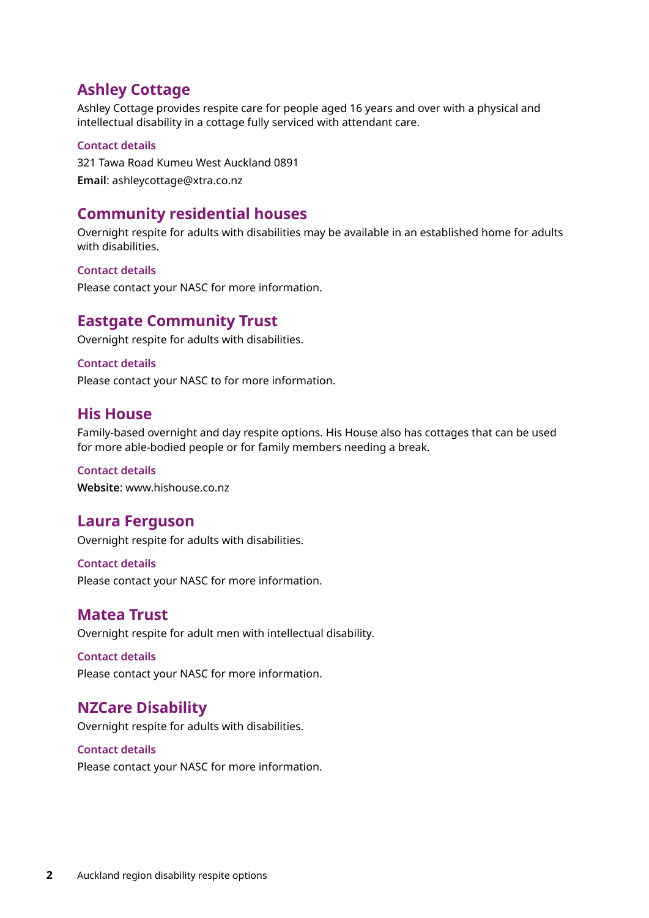## **Ashley Cottage**

Ashley Cottage provides respite care for people aged 16 years and over with a physical and intellectual disability in a cottage fully serviced with attendant care.

#### **Contact details**

321 Tawa Road Kumeu West Auckland 0891 **Email**: ashleycottage@xtra.co.nz

## **Community residential houses**

Overnight respite for adults with disabilities may be available in an established home for adults with disabilities.

#### **Contact details**

Please contact your NASC for more information.

### **Eastgate Community Trust**

Overnight respite for adults with disabilities.

#### **Contact details**

Please contact your NASC to for more information.

#### **His House**

Family-based overnight and day respite options. His House also has cottages that can be used for more able-bodied people or for family members needing a break.

#### **Contact details**

**Website**: www.hishouse.co.nz

### **Laura Ferguson**

Overnight respite for adults with disabilities.

#### **Contact details**

Please contact your NASC for more information.

#### **Matea Trust**

Overnight respite for adult men with intellectual disability.

#### **Contact details**

Please contact your NASC for more information.

### **NZCare Disability**

Overnight respite for adults with disabilities.

#### **Contact details**

Please contact your NASC for more information.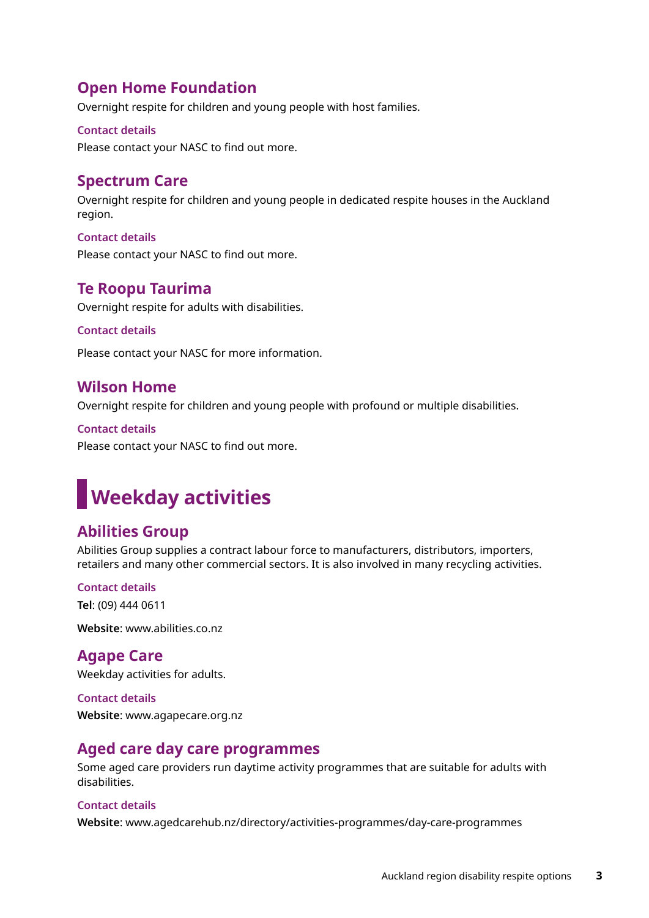## **Open Home Foundation**

Overnight respite for children and young people with host families.

#### **Contact details**

Please contact your NASC to find out more.

## **Spectrum Care**

Overnight respite for children and young people in dedicated respite houses in the Auckland region.

**Contact details** Please contact your NASC to find out more.

## **Te Roopu Taurima**

Overnight respite for adults with disabilities.

#### **Contact details**

Please contact your NASC for more information.

### **Wilson Home**

Overnight respite for children and young people with profound or multiple disabilities.

**Contact details** Please contact your NASC to find out more.

## **Weekday activities**

## **Abilities Group**

Abilities Group supplies a contract labour force to manufacturers, distributors, importers, retailers and many other commercial sectors. It is also involved in many recycling activities.

#### **Contact details**

**Tel**: (09) 444 0611

**Website**: www.abilities.co.nz

## **Agape Care**

Weekday activities for adults.

#### **Contact details**

**Website**: www.agapecare.org.nz

### **Aged care day care programmes**

Some aged care providers run daytime activity programmes that are suitable for adults with disabilities.

#### **Contact details**

**Website**: www.agedcarehub.nz/directory/activities-programmes/day-care-programmes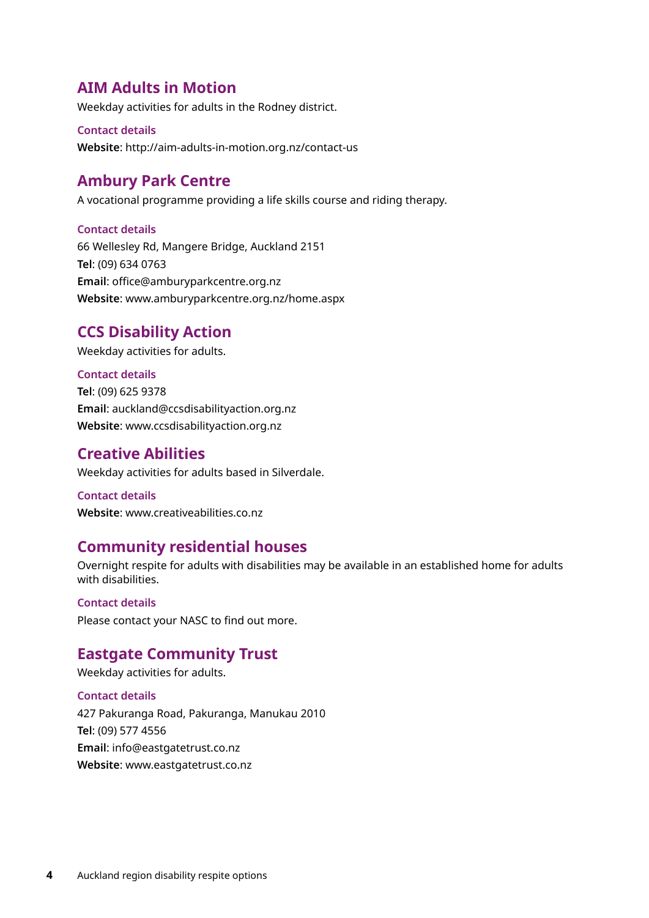## **AIM Adults in Motion**

Weekday activities for adults in the Rodney district.

#### **Contact details**

**Website**: http://aim-adults-in-motion.org.nz/contact-us

### **Ambury Park Centre**

A vocational programme providing a life skills course and riding therapy.

#### **Contact details**

66 Wellesley Rd, Mangere Bridge, Auckland 2151 **Tel**: (09) 634 0763 **Email**: office@amburyparkcentre.org.nz **Website**: www.amburyparkcentre.org.nz/home.aspx

## **CCS Disability Action**

Weekday activities for adults.

#### **Contact details**

**Tel**: (09) 625 9378 **Email**: auckland@ccsdisabilityaction.org.nz **Website**: www.ccsdisabilityaction.org.nz

### **Creative Abilities**

Weekday activities for adults based in Silverdale.

**Contact details Website**: www.creativeabilities.co.nz

### **Community residential houses**

Overnight respite for adults with disabilities may be available in an established home for adults with disabilities.

**Contact details**  Please contact your NASC to find out more.

### **Eastgate Community Trust**

Weekday activities for adults.

#### **Contact details**

427 Pakuranga Road, Pakuranga, Manukau 2010 **Tel**: (09) 577 4556 **Email**: info@eastgatetrust.co.nz **Website**: www.eastgatetrust.co.nz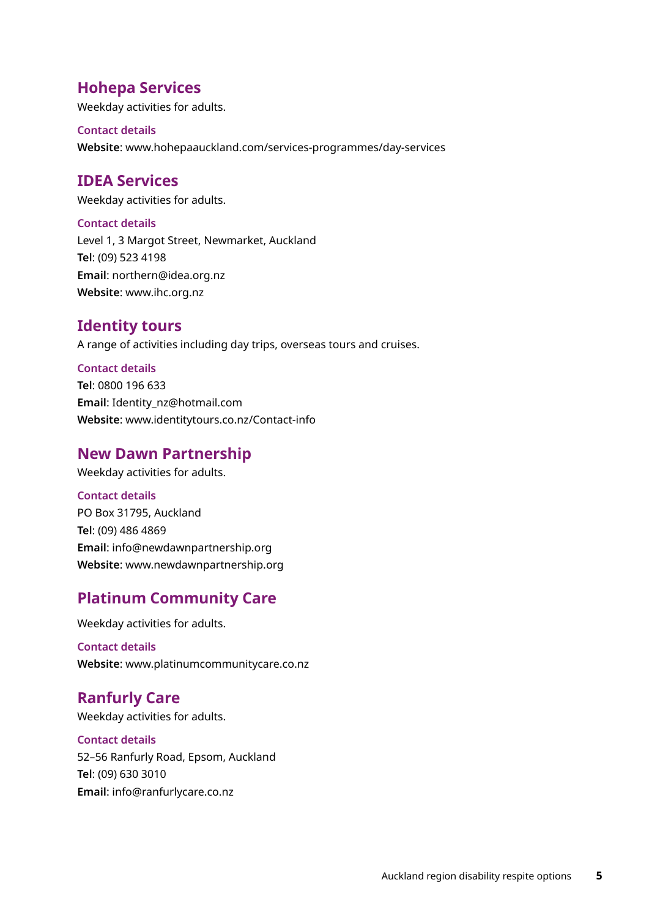## **Hohepa Services**

Weekday activities for adults.

#### **Contact details**

**Website**: www.hohepaauckland.com/services-programmes/day-services

## **IDEA Services**

Weekday activities for adults.

#### **Contact details**

Level 1, 3 Margot Street, Newmarket, Auckland **Tel**: (09) 523 4198 **Email**: northern@idea.org.nz **Website**: www.ihc.org.nz

### **Identity tours**

A range of activities including day trips, overseas tours and cruises.

#### **Contact details**

**Tel**: 0800 196 633 **Email**: Identity\_nz@hotmail.com **Website**: www.identitytours.co.nz/Contact-info

## **New Dawn Partnership**

Weekday activities for adults.

#### **Contact details**

PO Box 31795, Auckland **Tel**: (09) 486 4869 **Email**: info@newdawnpartnership.org **Website**: www.newdawnpartnership.org

## **Platinum Community Care**

Weekday activities for adults.

**Contact details Website**: www.platinumcommunitycare.co.nz

## **Ranfurly Care**

Weekday activities for adults.

## **Contact details**

52–56 Ranfurly Road, Epsom, Auckland **Tel**: (09) 630 3010 **Email**: info@ranfurlycare.co.nz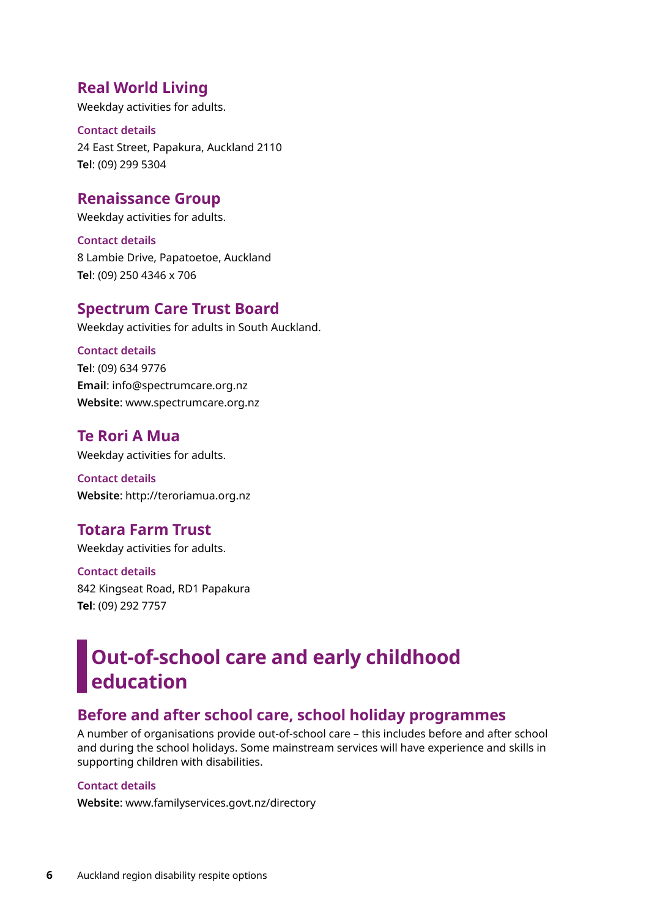## **Real World Living**

Weekday activities for adults.

**Contact details** 24 East Street, Papakura, Auckland 2110 **Tel**: (09) 299 5304

### **Renaissance Group**

Weekday activities for adults.

**Contact details** 8 Lambie Drive, Papatoetoe, Auckland **Tel**: (09) 250 4346 x 706

#### **Spectrum Care Trust Board**

Weekday activities for adults in South Auckland.

#### **Contact details**

**Tel**: (09) 634 9776 **Email**: info@spectrumcare.org.nz **Website**: www.spectrumcare.org.nz

### **Te Rori A Mua**

Weekday activities for adults.

**Contact details Website**: http://teroriamua.org.nz

## **Totara Farm Trust**

Weekday activities for adults.

**Contact details** 842 Kingseat Road, RD1 Papakura **Tel**: (09) 292 7757

## **Out-of-school care and early childhood education**

## **Before and after school care, school holiday programmes**

A number of organisations provide out-of-school care – this includes before and after school and during the school holidays. Some mainstream services will have experience and skills in supporting children with disabilities.

#### **Contact details**

**Website**: www.familyservices.govt.nz/directory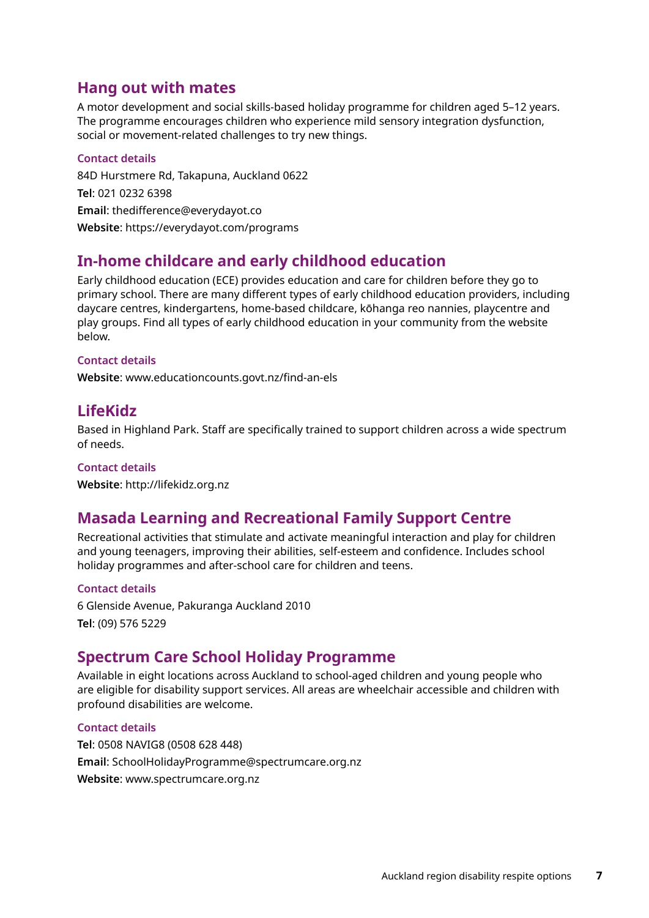## **Hang out with mates**

A motor development and social skills-based holiday programme for children aged 5–12 years. The programme encourages children who experience mild sensory integration dysfunction, social or movement-related challenges to try new things.

#### **Contact details**

84D Hurstmere Rd, Takapuna, Auckland 0622 **Tel**: 021 0232 6398 **Email**: thedifference@everydayot.co **Website**: https://everydayot.com/programs

## **In-home childcare and early childhood education**

Early childhood education (ECE) provides education and care for children before they go to primary school. There are many different types of early childhood education providers, including daycare centres, kindergartens, home-based childcare, kōhanga reo nannies, playcentre and play groups. Find all types of early childhood education in your community from the website below.

#### **Contact details**

**Website**: www.educationcounts.govt.nz/find-an-els

## **LifeKidz**

Based in Highland Park. Staff are specifically trained to support children across a wide spectrum of needs.

#### **Contact details**

**Website**: http://lifekidz.org.nz

### **Masada Learning and Recreational Family Support Centre**

Recreational activities that stimulate and activate meaningful interaction and play for children and young teenagers, improving their abilities, self-esteem and confidence. Includes school holiday programmes and after-school care for children and teens.

#### **Contact details**

6 Glenside Avenue, Pakuranga Auckland 2010 **Tel**: (09) 576 5229

### **Spectrum Care School Holiday Programme**

Available in eight locations across Auckland to school-aged children and young people who are eligible for disability support services. All areas are wheelchair accessible and children with profound disabilities are welcome.

#### **Contact details**

**Tel**: 0508 NAVIG8 (0508 628 448) **Email**: SchoolHolidayProgramme@spectrumcare.org.nz **Website**: www.spectrumcare.org.nz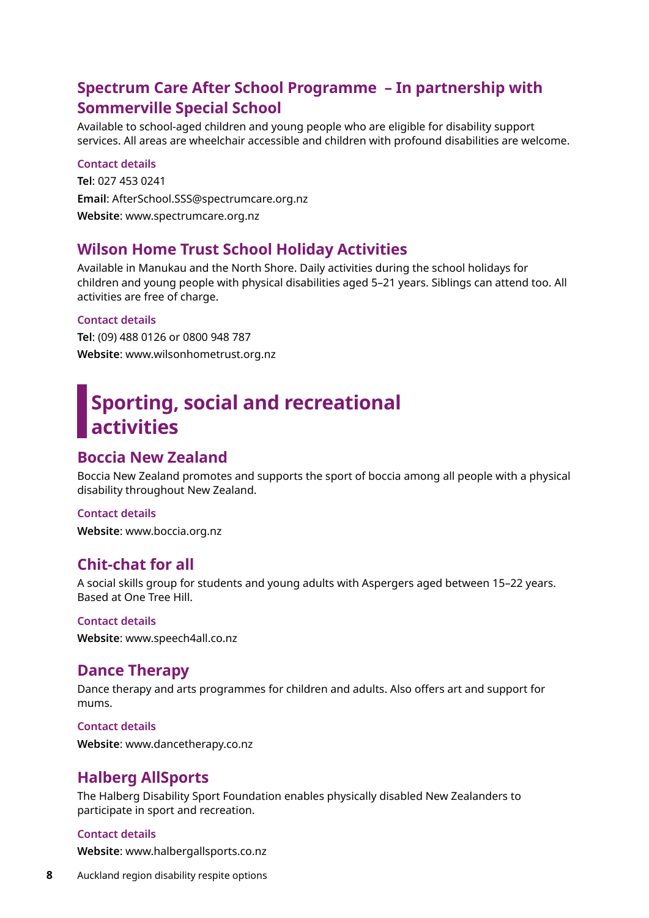## **Spectrum Care After School Programme – In partnership with Sommerville Special School**

Available to school-aged children and young people who are eligible for disability support services. All areas are wheelchair accessible and children with profound disabilities are welcome.

#### **Contact details**

**Tel**: 027 453 0241 **Email**: AfterSchool.SSS@spectrumcare.org.nz **Website**: www.spectrumcare.org.nz

### **Wilson Home Trust School Holiday Activities**

Available in Manukau and the North Shore. Daily activities during the school holidays for children and young people with physical disabilities aged 5–21 years. Siblings can attend too. All activities are free of charge.

#### **Contact details**

**Tel**: (09) 488 0126 or 0800 948 787 **Website**: www.wilsonhometrust.org.nz

## **Sporting, social and recreational activities**

#### **Boccia New Zealand**

Boccia New Zealand promotes and supports the sport of boccia among all people with a physical disability throughout New Zealand.

#### **Contact details**

**Website**: www.boccia.org.nz

### **Chit-chat for all**

A social skills group for students and young adults with Aspergers aged between 15–22 years. Based at One Tree Hill.

#### **Contact details**

**Website**: www.speech4all.co.nz

#### **Dance Therapy**

Dance therapy and arts programmes for children and adults. Also offers art and support for mums.

#### **Contact details**

**Website**: www.dancetherapy.co.nz

#### **Halberg AllSports**

The Halberg Disability Sport Foundation enables physically disabled New Zealanders to participate in sport and recreation.

#### **Contact details**

**Website**: www.halbergallsports.co.nz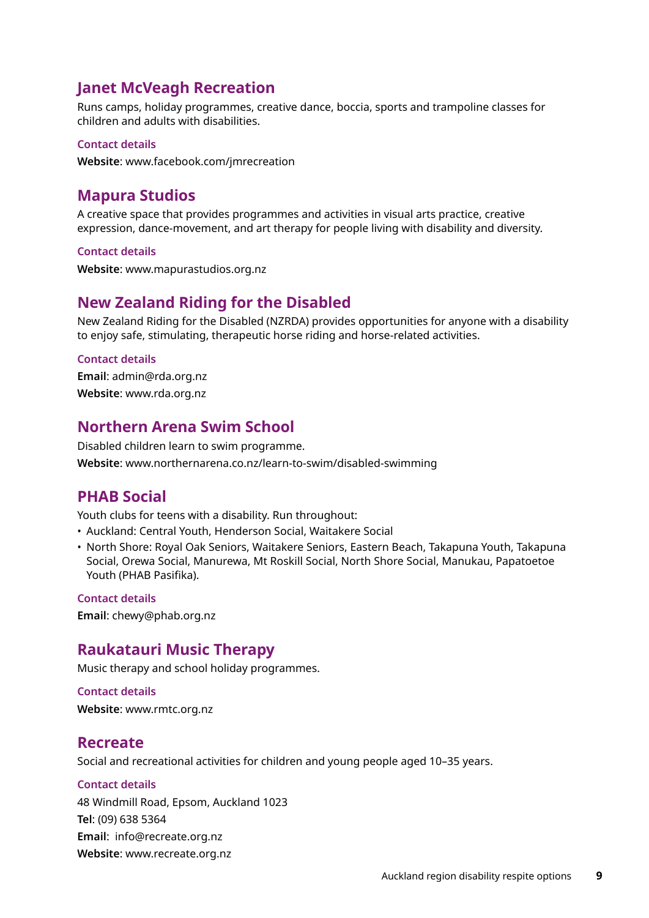## **Janet McVeagh Recreation**

Runs camps, holiday programmes, creative dance, boccia, sports and trampoline classes for children and adults with disabilities.

#### **Contact details**

**Website**: www.facebook.com/jmrecreation

## **Mapura Studios**

A creative space that provides programmes and activities in visual arts practice, creative expression, dance-movement, and art therapy for people living with disability and diversity.

#### **Contact details**

**Website**: www.mapurastudios.org.nz

## **New Zealand Riding for the Disabled**

New Zealand Riding for the Disabled (NZRDA) provides opportunities for anyone with a disability to enjoy safe, stimulating, therapeutic horse riding and horse-related activities.

#### **Contact details**

**Email**: admin@rda.org.nz **Website**: www.rda.org.nz

## **Northern Arena Swim School**

Disabled children learn to swim programme. **Website**: www.northernarena.co.nz/learn-to-swim/disabled-swimming

### **PHAB Social**

Youth clubs for teens with a disability. Run throughout:

• Auckland: Central Youth, Henderson Social, Waitakere Social

• North Shore: Royal Oak Seniors, Waitakere Seniors, Eastern Beach, Takapuna Youth, Takapuna Social, Orewa Social, Manurewa, Mt Roskill Social, North Shore Social, Manukau, Papatoetoe Youth (PHAB Pasifika).

#### **Contact details**

**Email**: chewy@phab.org.nz

### **Raukatauri Music Therapy**

Music therapy and school holiday programmes.

**Contact details Website**: www.rmtc.org.nz

#### **Recreate**

Social and recreational activities for children and young people aged 10–35 years.

#### **Contact details**

48 Windmill Road, Epsom, Auckland 1023 **Tel**: (09) 638 5364 **Email**: info@recreate.org.nz **Website**: www.recreate.org.nz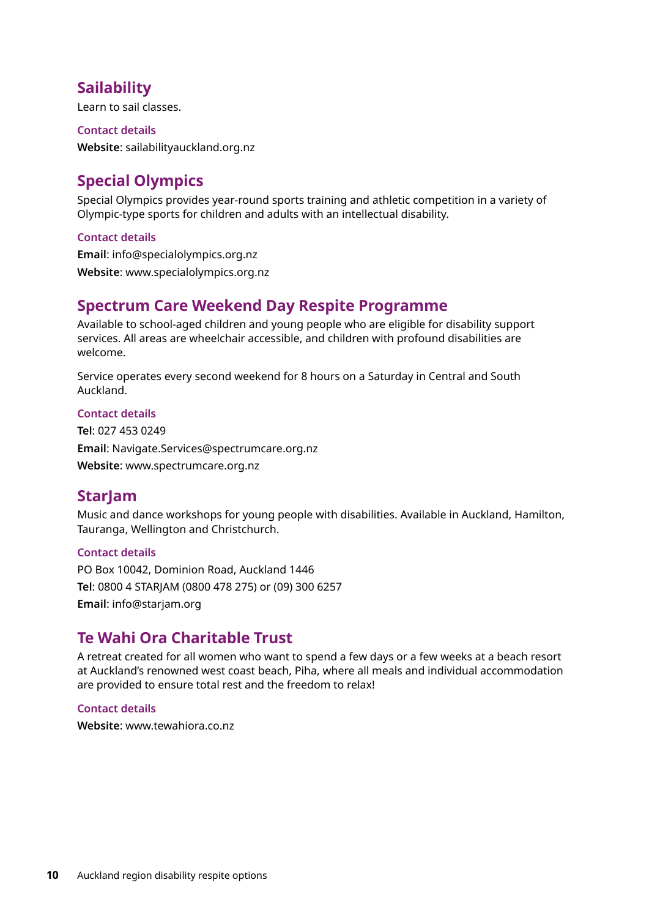## **Sailability**

Learn to sail classes.

**Contact details Website**: sailabilityauckland.org.nz

## **Special Olympics**

Special Olympics provides year-round sports training and athletic competition in a variety of Olympic-type sports for children and adults with an intellectual disability.

#### **Contact details**

**Email**: info@specialolympics.org.nz **Website**: www.specialolympics.org.nz

### **Spectrum Care Weekend Day Respite Programme**

Available to school-aged children and young people who are eligible for disability support services. All areas are wheelchair accessible, and children with profound disabilities are welcome.

Service operates every second weekend for 8 hours on a Saturday in Central and South Auckland.

#### **Contact details**

**Tel**: 027 453 0249 **Email**: Navigate.Services@spectrumcare.org.nz **Website**: www.spectrumcare.org.nz

## **StarJam**

Music and dance workshops for young people with disabilities. Available in Auckland, Hamilton, Tauranga, Wellington and Christchurch.

#### **Contact details**

PO Box 10042, Dominion Road, Auckland 1446 **Tel**: 0800 4 STARJAM (0800 478 275) or (09) 300 6257 **Email**: info@starjam.org

## **Te Wahi Ora Charitable Trust**

A retreat created for all women who want to spend a few days or a few weeks at a beach resort at Auckland's renowned west coast beach, Piha, where all meals and individual accommodation are provided to ensure total rest and the freedom to relax!

**Contact details**

**Website**: www.tewahiora.co.nz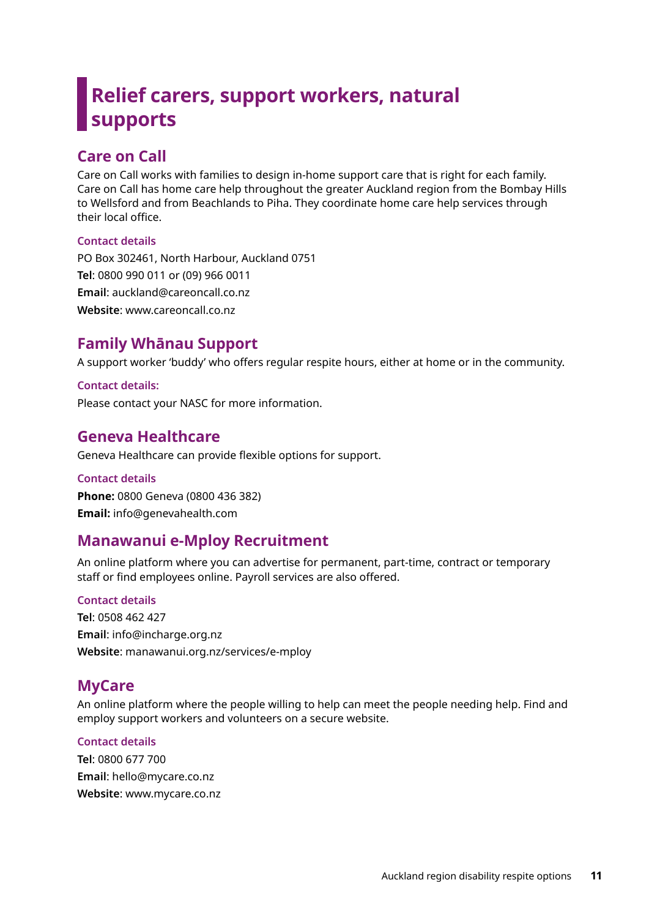## **Relief carers, support workers, natural supports**

## **Care on Call**

Care on Call works with families to design in-home support care that is right for each family. Care on Call has home care help throughout the greater Auckland region from the Bombay Hills to Wellsford and from Beachlands to Piha. They coordinate home care help services through their local office.

#### **Contact details**

PO Box 302461, North Harbour, Auckland 0751 **Tel**: 0800 990 011 or (09) 966 0011 **Email**: auckland@careoncall.co.nz **Website**: www.careoncall.co.nz

## **Family Whānau Support**

A support worker 'buddy' who offers regular respite hours, either at home or in the community.

**Contact details:** Please contact your NASC for more information.

## **Geneva Healthcare**

Geneva Healthcare can provide flexible options for support.

#### **Contact details Phone:** 0800 Geneva (0800 436 382) **Email:** info@genevahealth.com

## **Manawanui e-Mploy Recruitment**

An online platform where you can advertise for permanent, part-time, contract or temporary staff or find employees online. Payroll services are also offered.

#### **Contact details**

**Tel**: 0508 462 427 **Email**: info@incharge.org.nz **Website**: manawanui.org.nz/services/e-mploy

## **MyCare**

An online platform where the people willing to help can meet the people needing help. Find and employ support workers and volunteers on a secure website.

#### **Contact details**

**Tel**: 0800 677 700 **Email**: hello@mycare.co.nz **Website**: www.mycare.co.nz